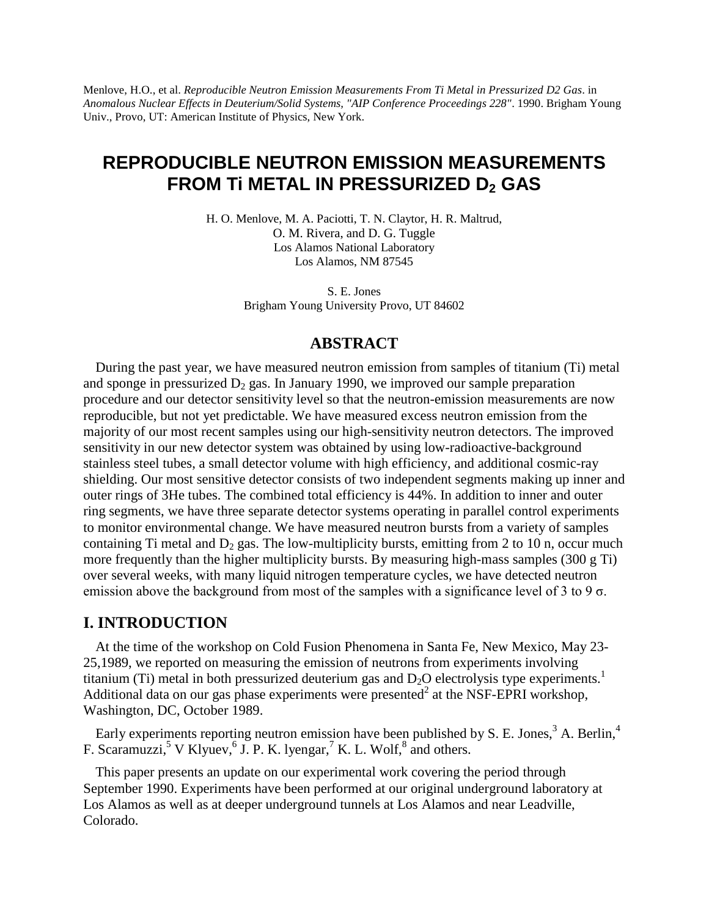Menlove, H.O., et al. *Reproducible Neutron Emission Measurements From Ti Metal in Pressurized D2 Gas*. in *Anomalous Nuclear Effects in Deuterium/Solid Systems, "AIP Conference Proceedings 228"*. 1990. Brigham Young Univ., Provo, UT: American Institute of Physics, New York.

# **REPRODUCIBLE NEUTRON EMISSION MEASUREMENTS FROM Ti METAL IN PRESSURIZED D<sup>2</sup> GAS**

H. O. Menlove, M. A. Paciotti, T. N. Claytor, H. R. Maltrud, O. M. Rivera, and D. G. Tuggle Los Alamos National Laboratory Los Alamos, NM 87545

> S. E. Jones Brigham Young University Provo, UT 84602

## **ABSTRACT**

During the past year, we have measured neutron emission from samples of titanium (Ti) metal and sponge in pressurized  $D_2$  gas. In January 1990, we improved our sample preparation procedure and our detector sensitivity level so that the neutron-emission measurements are now reproducible, but not yet predictable. We have measured excess neutron emission from the majority of our most recent samples using our high-sensitivity neutron detectors. The improved sensitivity in our new detector system was obtained by using low-radioactive-background stainless steel tubes, a small detector volume with high efficiency, and additional cosmic-ray shielding. Our most sensitive detector consists of two independent segments making up inner and outer rings of 3He tubes. The combined total efficiency is 44%. In addition to inner and outer ring segments, we have three separate detector systems operating in parallel control experiments to monitor environmental change. We have measured neutron bursts from a variety of samples containing Ti metal and  $D_2$  gas. The low-multiplicity bursts, emitting from 2 to 10 n, occur much more frequently than the higher multiplicity bursts. By measuring high-mass samples (300 g Ti) over several weeks, with many liquid nitrogen temperature cycles, we have detected neutron emission above the background from most of the samples with a significance level of 3 to 9  $\sigma$ .

### **I. INTRODUCTION**

At the time of the workshop on Cold Fusion Phenomena in Santa Fe, New Mexico, May 23- 25,1989, we reported on measuring the emission of neutrons from experiments involving titanium (Ti) metal in both pressurized deuterium gas and  $D_2O$  electrolysis type experiments.<sup>1</sup> Additional data on our gas phase experiments were presented<sup>2</sup> at the NSF-EPRI workshop, Washington, DC, October 1989.

Early experiments reporting neutron emission have been published by S. E. Jones,  $3$  A. Berlin,  $4$ F. Scaramuzzi,<sup>5</sup> V Klyuev,<sup>6</sup> J. P. K. lyengar,<sup>7</sup> K. L. Wolf,<sup>8</sup> and others.

This paper presents an update on our experimental work covering the period through September 1990. Experiments have been performed at our original underground laboratory at Los Alamos as well as at deeper underground tunnels at Los Alamos and near Leadville, Colorado.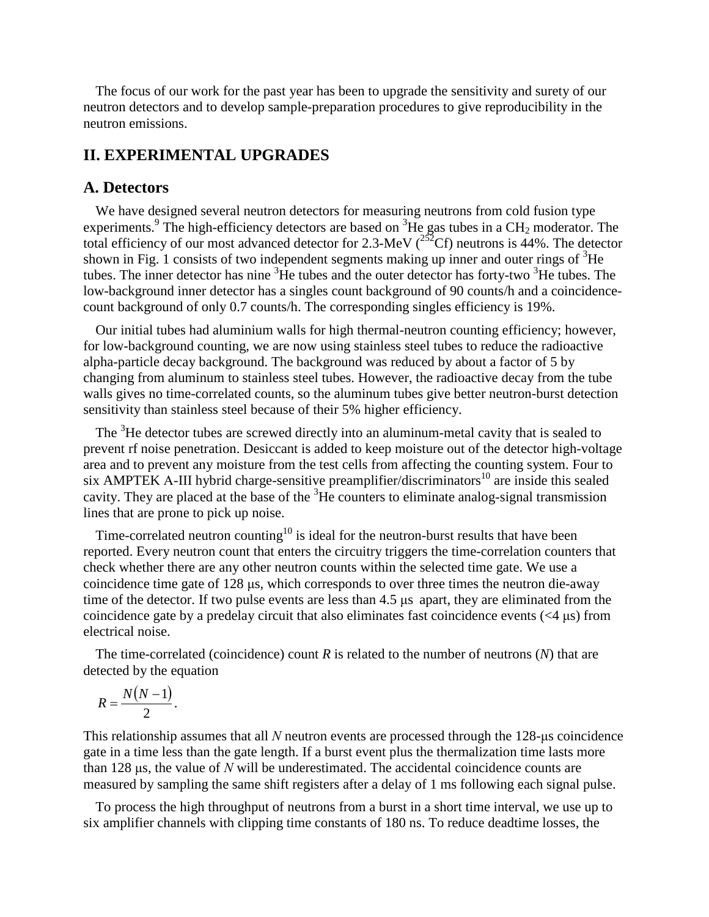The focus of our work for the past year has been to upgrade the sensitivity and surety of our neutron detectors and to develop sample-preparation procedures to give reproducibility in the neutron emissions.

# **II. EXPERIMENTAL UPGRADES**

## **A. Detectors**

We have designed several neutron detectors for measuring neutrons from cold fusion type experiments.<sup>9</sup> The high-efficiency detectors are based on <sup>3</sup>He gas tubes in a CH<sub>2</sub> moderator. The total efficiency of our most advanced detector for 2.3-MeV  $(^{252}Cf)$  neutrons is 44%. The detector shown in Fig. 1 consists of two independent segments making up inner and outer rings of  ${}^{3}$ He tubes. The inner detector has nine  ${}^{3}$ He tubes and the outer detector has forty-two  ${}^{3}$ He tubes. The low-background inner detector has a singles count background of 90 counts/h and a coincidencecount background of only 0.7 counts/h. The corresponding singles efficiency is 19%.

Our initial tubes had aluminium walls for high thermal-neutron counting efficiency; however, for low-background counting, we are now using stainless steel tubes to reduce the radioactive alpha-particle decay background. The background was reduced by about a factor of 5 by changing from aluminum to stainless steel tubes. However, the radioactive decay from the tube walls gives no time-correlated counts, so the aluminum tubes give better neutron-burst detection sensitivity than stainless steel because of their 5% higher efficiency.

The <sup>3</sup>He detector tubes are screwed directly into an aluminum-metal cavity that is sealed to prevent rf noise penetration. Desiccant is added to keep moisture out of the detector high-voltage area and to prevent any moisture from the test cells from affecting the counting system. Four to six AMPTEK A-III hybrid charge-sensitive preamplifier/discriminators<sup>10</sup> are inside this sealed cavity. They are placed at the base of the  ${}^{3}$ He counters to eliminate analog-signal transmission lines that are prone to pick up noise.

Time-correlated neutron counting<sup>10</sup> is ideal for the neutron-burst results that have been reported. Every neutron count that enters the circuitry triggers the time-correlation counters that check whether there are any other neutron counts within the selected time gate. We use a coincidence time gate of 128 μs*,* which corresponds to over three times the neutron die-away time of the detector. If two pulse events are less than 4.5 μs apart, they are eliminated from the coincidence gate by a predelay circuit that also eliminates fast coincidence events (<4 μs) from electrical noise.

The time-correlated (coincidence) count *R* is related to the number of neutrons (*N*) that are detected by the equation

$$
R=\frac{N(N-1)}{2}.
$$

This relationship assumes that all *Ν*neutron events are processed through the 128-μs coincidence gate in a time less than the gate length. If a burst event plus the thermalization time lasts more than 128 μs, the value of *Ν*will be underestimated. The accidental coincidence counts are measured by sampling the same shift registers after a delay of 1 ms following each signal pulse.

To process the high throughput of neutrons from a burst in a short time interval, we use up to six amplifier channels with clipping time constants of 180 ns. To reduce deadtime losses, the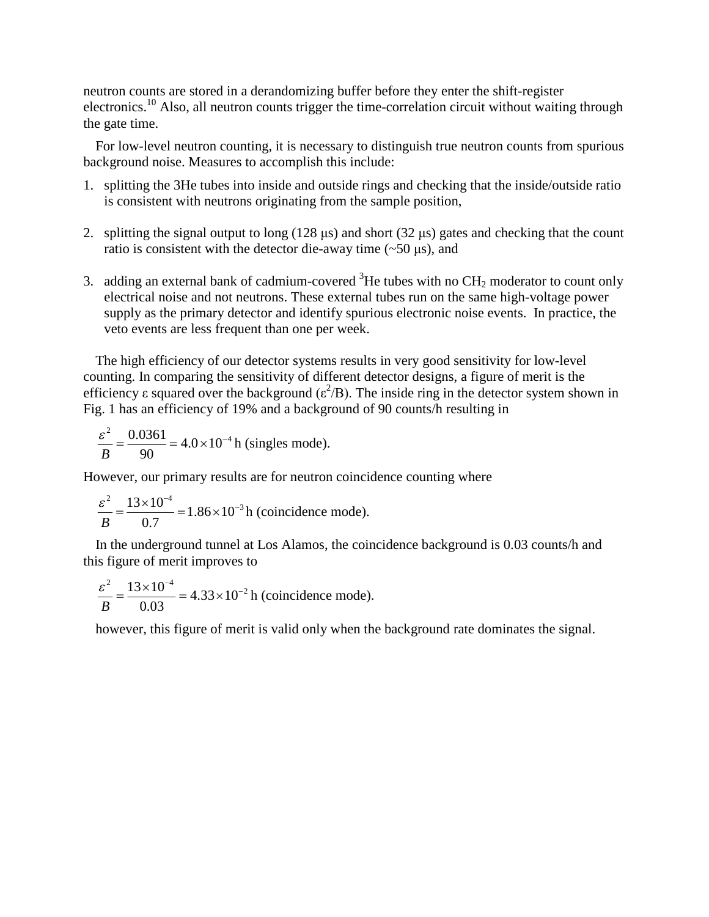neutron counts are stored in a derandomizing buffer before they enter the shift-register electronics.<sup>10</sup> Also, all neutron counts trigger the time-correlation circuit without waiting through the gate time.

For low-level neutron counting, it is necessary to distinguish true neutron counts from spurious background noise. Measures to accomplish this include:

- 1. splitting the 3He tubes into inside and outside rings and checking that the inside/outside ratio is consistent with neutrons originating from the sample position,
- 2. splitting the signal output to long (128 μs) and short (32 μs) gates and checking that the count ratio is consistent with the detector die-away time  $(\sim 50 \,\mu s)$ , and
- 3. adding an external bank of cadmium-covered  ${}^{3}$ He tubes with no CH<sub>2</sub> moderator to count only electrical noise and not neutrons. These external tubes run on the same high-voltage power supply as the primary detector and identify spurious electronic noise events. In practice, the veto events are less frequent than one per week.

The high efficiency of our detector systems results in very good sensitivity for low-level counting. In comparing the sensitivity of different detector designs, a figure of merit is the efficiency ε squared over the background ( $\varepsilon^2/B$ ). The inside ring in the detector system shown in Fig. 1 has an efficiency of 19% and a background of 90 counts/h resulting in

$$
\frac{\varepsilon^2}{B} = \frac{0.0361}{90} = 4.0 \times 10^{-4} \text{ h (singles mode)}.
$$

However, our primary results are for neutron coincidence counting where

$$
\frac{\varepsilon^2}{B} = \frac{13 \times 10^{-4}}{0.7} = 1.86 \times 10^{-3} \,\text{h} \text{ (coincidence mode)}.
$$

In the underground tunnel at Los Alamos, the coincidence background is 0.03 counts/h and this figure of merit improves to

$$
\frac{\varepsilon^2}{B} = \frac{13 \times 10^{-4}}{0.03} = 4.33 \times 10^{-2} \text{ h (coincidence mode)}.
$$

however, this figure of merit is valid only when the background rate dominates the signal.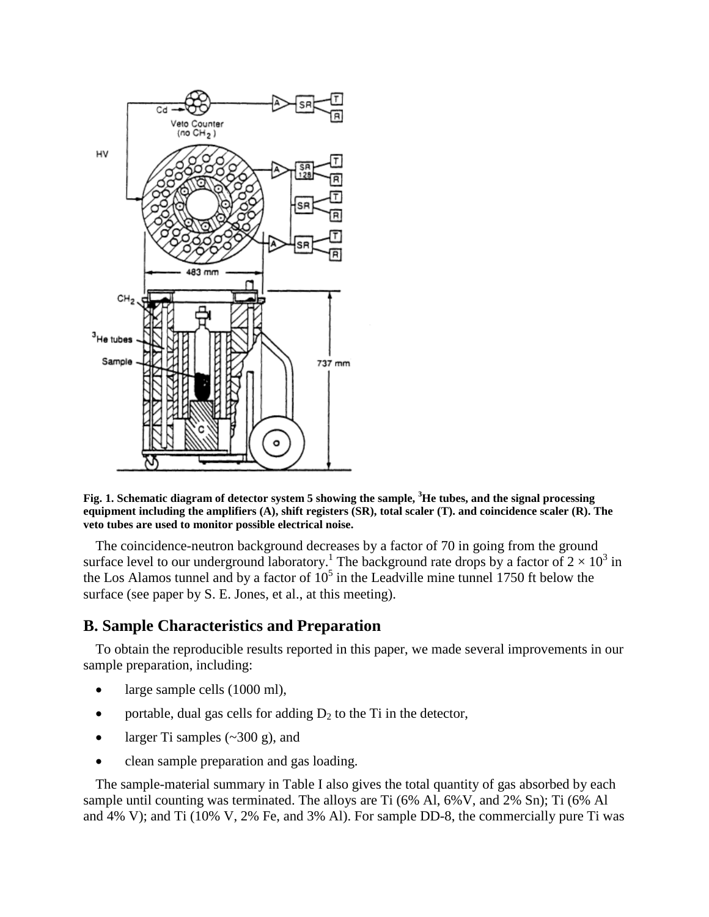

**Fig. 1. Schematic diagram of detector system 5 showing the sample, <sup>3</sup>He tubes, and the signal processing equipment including the amplifiers (A), shift registers (SR), total scaler (T). and coincidence scaler (R). The veto tubes are used to monitor possible electrical noise.**

The coincidence-neutron background decreases by a factor of 70 in going from the ground surface level to our underground laboratory.<sup>1</sup> The background rate drops by a factor of  $2 \times 10^3$  in the Los Alamos tunnel and by a factor of  $10<sup>5</sup>$  in the Leadville mine tunnel 1750 ft below the surface (see paper by S. E. Jones, et al., at this meeting).

# **B. Sample Characteristics and Preparation**

To obtain the reproducible results reported in this paper, we made several improvements in our sample preparation, including:

- large sample cells (1000 ml),
- portable, dual gas cells for adding  $D_2$  to the Ti in the detector,
- larger Ti samples (~300 g), and
- clean sample preparation and gas loading.

The sample-material summary in Table I also gives the total quantity of gas absorbed by each sample until counting was terminated. The alloys are Ti (6% Al, 6%V, and 2% Sn); Ti (6% Al and 4% V); and Ti (10% V, 2% Fe, and 3% Al). For sample DD-8, the commercially pure Ti was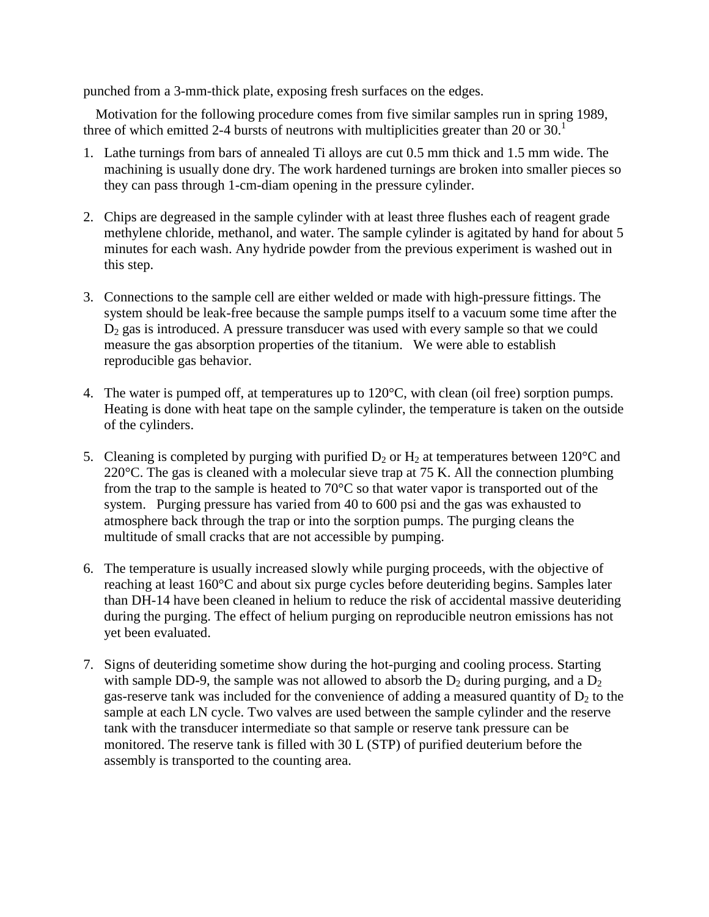punched from a 3-mm-thick plate, exposing fresh surfaces on the edges.

Motivation for the following procedure comes from five similar samples run in spring 1989, three of which emitted 2-4 bursts of neutrons with multiplicities greater than 20 or  $30<sup>1</sup>$ 

- 1. Lathe turnings from bars of annealed Ti alloys are cut 0.5 mm thick and 1.5 mm wide. The machining is usually done dry. The work hardened turnings are broken into smaller pieces so they can pass through 1-cm-diam opening in the pressure cylinder.
- 2. Chips are degreased in the sample cylinder with at least three flushes each of reagent grade methylene chloride, methanol, and water. The sample cylinder is agitated by hand for about 5 minutes for each wash. Any hydride powder from the previous experiment is washed out in this step.
- 3. Connections to the sample cell are either welded or made with high-pressure fittings. The system should be leak-free because the sample pumps itself to a vacuum some time after the  $D<sub>2</sub>$  gas is introduced. A pressure transducer was used with every sample so that we could measure the gas absorption properties of the titanium. We were able to establish reproducible gas behavior.
- 4. The water is pumped off, at temperatures up to  $120^{\circ}$ C, with clean (oil free) sorption pumps. Heating is done with heat tape on the sample cylinder, the temperature is taken on the outside of the cylinders.
- 5. Cleaning is completed by purging with purified  $D_2$  or  $H_2$  at temperatures between 120°C and 220 $^{\circ}$ C. The gas is cleaned with a molecular sieve trap at 75 K. All the connection plumbing from the trap to the sample is heated to 70°C so that water vapor is transported out of the system. Purging pressure has varied from 40 to 600 psi and the gas was exhausted to atmosphere back through the trap or into the sorption pumps. The purging cleans the multitude of small cracks that are not accessible by pumping.
- 6. The temperature is usually increased slowly while purging proceeds, with the objective of reaching at least 160°C and about six purge cycles before deuteriding begins. Samples later than DH-14 have been cleaned in helium to reduce the risk of accidental massive deuteriding during the purging. The effect of helium purging on reproducible neutron emissions has not yet been evaluated.
- 7. Signs of deuteriding sometime show during the hot-purging and cooling process. Starting with sample DD-9, the sample was not allowed to absorb the  $D_2$  during purging, and a  $D_2$ gas-reserve tank was included for the convenience of adding a measured quantity of  $D_2$  to the sample at each LN cycle. Two valves are used between the sample cylinder and the reserve tank with the transducer intermediate so that sample or reserve tank pressure can be monitored. The reserve tank is filled with 30 L (STP) of purified deuterium before the assembly is transported to the counting area.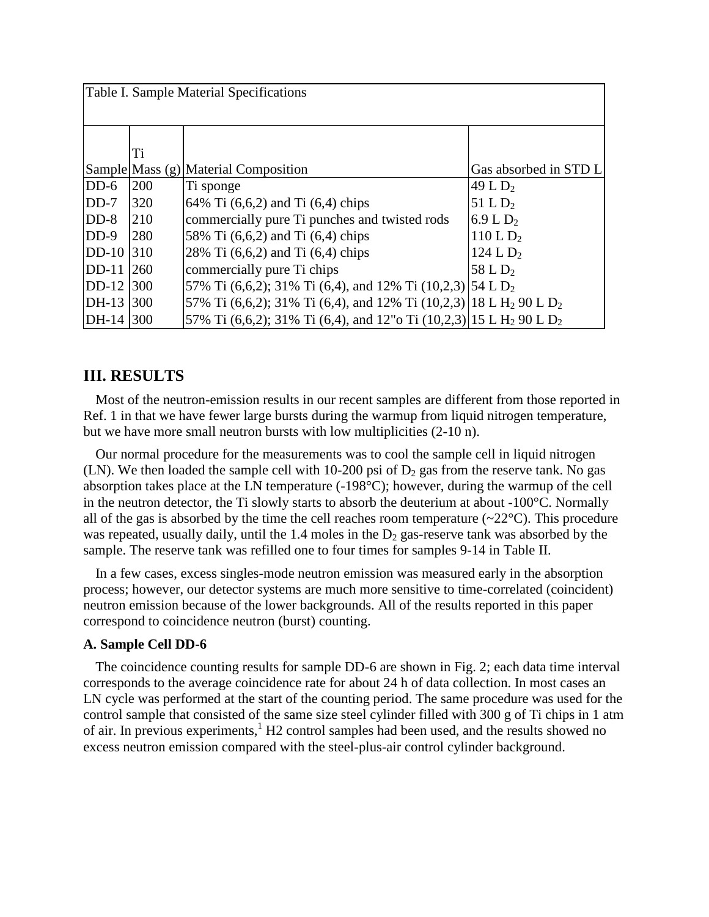|           |     | Table I. Sample Material Specifications                                                     |                       |
|-----------|-----|---------------------------------------------------------------------------------------------|-----------------------|
|           |     |                                                                                             |                       |
|           |     |                                                                                             |                       |
|           | Ti  |                                                                                             |                       |
|           |     | Sample Mass (g) Material Composition                                                        | Gas absorbed in STD L |
| $DD-6$    | 200 | Ti sponge                                                                                   | 49 L $D_2$            |
| $DD-7$    | 320 | 64% Ti $(6,6,2)$ and Ti $(6,4)$ chips                                                       | $51$ L D <sub>2</sub> |
| $DD-8$    | 210 | commercially pure Ti punches and twisted rods                                               | 6.9 L $D_2$           |
| $DD-9$    | 280 | 58% Ti (6,6,2) and Ti (6,4) chips                                                           | 110 L $D_2$           |
| DD-10 310 |     | 28% Ti $(6,6,2)$ and Ti $(6,4)$ chips                                                       | 124 L $D_2$           |
| $DD-11$   | 260 | commercially pure Ti chips                                                                  | 58 L $D_2$            |
| $DD-12$   | 300 | 57% Ti (6,6,2); 31% Ti (6,4), and 12% Ti (10,2,3) 54 L D <sub>2</sub>                       |                       |
| $DH-13$   | 300 | 57% Ti (6,6,2); 31% Ti (6,4), and 12% Ti (10,2,3)   18 L H <sub>2</sub> 90 L D <sub>2</sub> |                       |
| DH-14 300 |     | 57% Ti (6,6,2); 31% Ti (6,4), and 12" o Ti (10,2,3) 15 L H <sub>2</sub> 90 L D <sub>2</sub> |                       |

# **ΙII.RESULTS**

Most of the neutron-emission results in our recent samples are different from those reported in Ref. 1 in that we have fewer large bursts during the warmup from liquid nitrogen temperature, but we have more small neutron bursts with low multiplicities (2-10 n).

Our normal procedure for the measurements was to cool the sample cell in liquid nitrogen (LN). We then loaded the sample cell with  $10-200$  psi of  $D_2$  gas from the reserve tank. No gas absorption takes place at the LN temperature (-198°C); however, during the warmup of the cell in the neutron detector, the Ti slowly starts to absorb the deuterium at about -100°C. Normally all of the gas is absorbed by the time the cell reaches room temperature  $(-22^{\circ}C)$ . This procedure was repeated, usually daily, until the  $1.4$  moles in the  $D_2$  gas-reserve tank was absorbed by the sample. The reserve tank was refilled one to four times for samples 9-14 in Table II.

In a few cases, excess singles-mode neutron emission was measured early in the absorption process; however, our detector systems are much more sensitive to time-correlated (coincident) neutron emission because of the lower backgrounds. All of the results reported in this paper correspond to coincidence neutron (burst) counting.

#### **A. Sample Cell DD-6**

The coincidence counting results for sample DD-6 are shown in Fig. 2; each data time interval corresponds to the average coincidence rate for about 24 h of data collection. In most cases an LN cycle was performed at the start of the counting period. The same procedure was used for the control sample that consisted of the same size steel cylinder filled with 300 g of Ti chips in 1 atm of air. In previous experiments,<sup>1</sup> H2 control samples had been used, and the results showed no excess neutron emission compared with the steel-plus-air control cylinder background.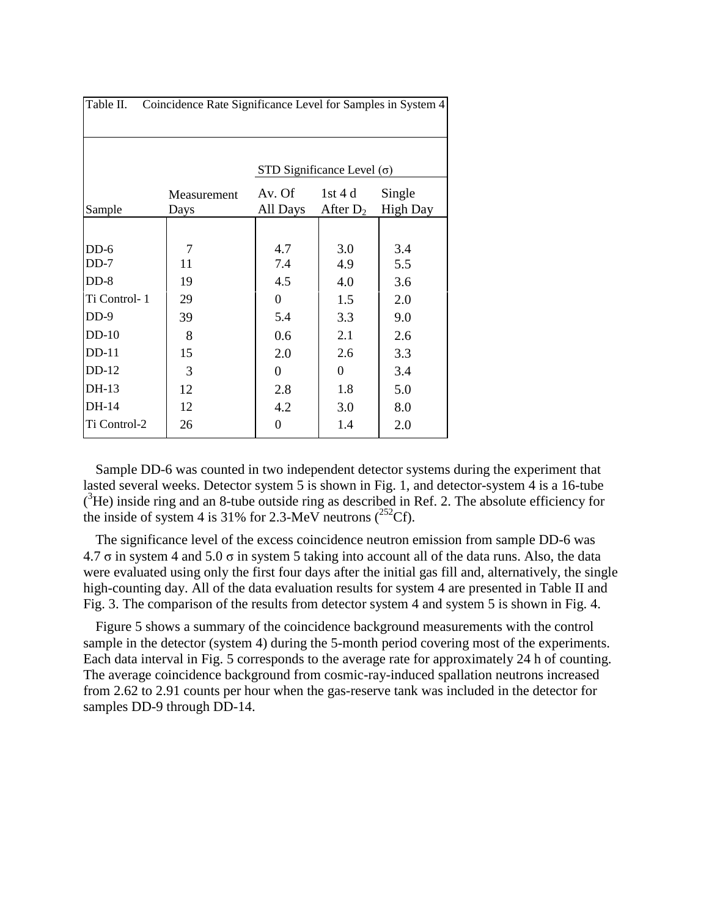| Coincidence Rate Significance Level for Samples in System 4<br>Table II. |             |                                   |             |                 |  |
|--------------------------------------------------------------------------|-------------|-----------------------------------|-------------|-----------------|--|
|                                                                          |             |                                   |             |                 |  |
|                                                                          |             |                                   |             |                 |  |
|                                                                          |             | STD Significance Level $(\sigma)$ |             |                 |  |
|                                                                          | Measurement | Av. Of                            | 1st4d       | Single          |  |
| Sample                                                                   | Days        | All Days                          | After $D_2$ | <b>High Day</b> |  |
|                                                                          |             |                                   |             |                 |  |
| $DD-6$                                                                   | 7           | 4.7                               | 3.0         | 3.4             |  |
| $DD-7$                                                                   | 11          | 7.4                               | 4.9         | 5.5             |  |
| $DD-8$                                                                   | 19          | 4.5                               | 4.0         | 3.6             |  |
| Ti Control-1                                                             | 29          | $\Omega$                          | 1.5         | 2.0             |  |
| $DD-9$                                                                   | 39          | 5.4                               | 3.3         | 9.0             |  |
| $DD-10$                                                                  | 8           | 0.6                               | 2.1         | 2.6             |  |
| $DD-11$                                                                  | 15          | 2.0                               | 2.6         | 3.3             |  |
| $DD-12$                                                                  | 3           | 0                                 | $\theta$    | 3.4             |  |
| DH-13                                                                    | 12          | 2.8                               | 1.8         | 5.0             |  |
| DH-14                                                                    | 12          | 4.2                               | 3.0         | 8.0             |  |
| Ti Control-2                                                             | 26          | 0                                 | 1.4         | 2.0             |  |
|                                                                          |             |                                   |             |                 |  |

Sample DD-6 was counted in two independent detector systems during the experiment that lasted several weeks. Detector system 5 is shown in Fig. 1, and detector-system 4 is a 16-tube  $(3$ He) inside ring and an 8-tube outside ring as described in Ref. 2. The absolute efficiency for the inside of system 4 is 31% for 2.3-MeV neutrons  $(^{252}Cf)$ .

The significance level of the excess coincidence neutron emission from sample DD-6 was 4.7  $\sigma$  in system 4 and 5.0  $\sigma$  in system 5 taking into account all of the data runs. Also, the data were evaluated using only the first four days after the initial gas fill and, alternatively, the single high-counting day. All of the data evaluation results for system 4 are presented in Table II and Fig. 3. The comparison of the results from detector system 4 and system 5 is shown in Fig. 4.

Figure 5 shows a summary of the coincidence background measurements with the control sample in the detector (system 4) during the 5-month period covering most of the experiments. Each data interval in Fig. 5 corresponds to the average rate for approximately 24 h of counting. The average coincidence background from cosmic-ray-induced spallation neutrons increased from 2.62 to 2.91 counts per hour when the gas-reserve tank was included in the detector for samples DD-9 through DD-14.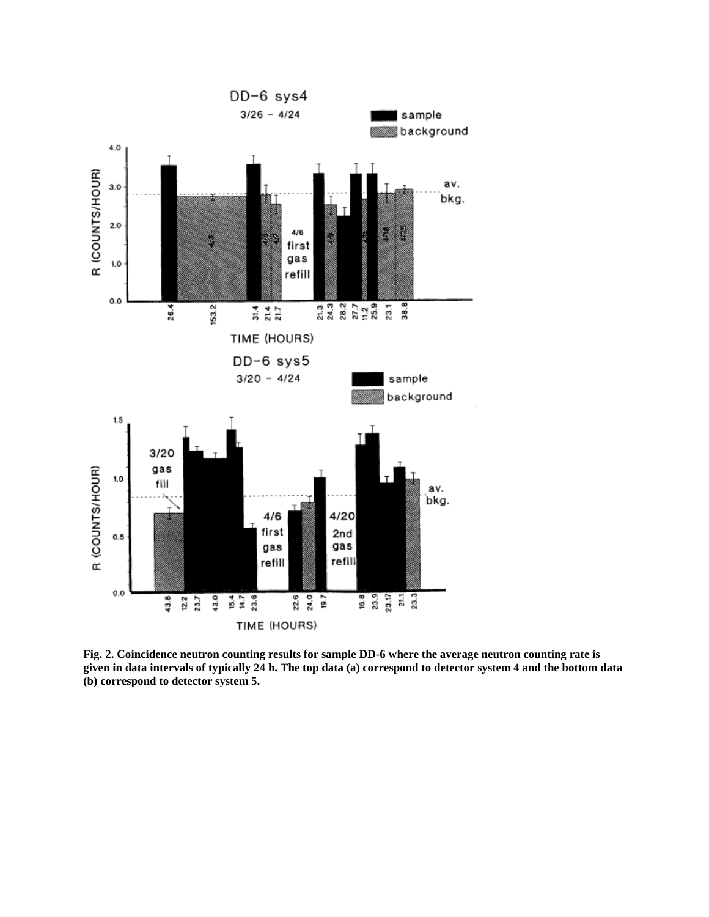

**Fig. 2. Coincidence neutron counting results for sample DD-6 where the average neutron counting rate is given in data intervals of typically 24 h. The top data (a) correspond to detector system 4 and the bottom data (b) correspond to detector system 5.**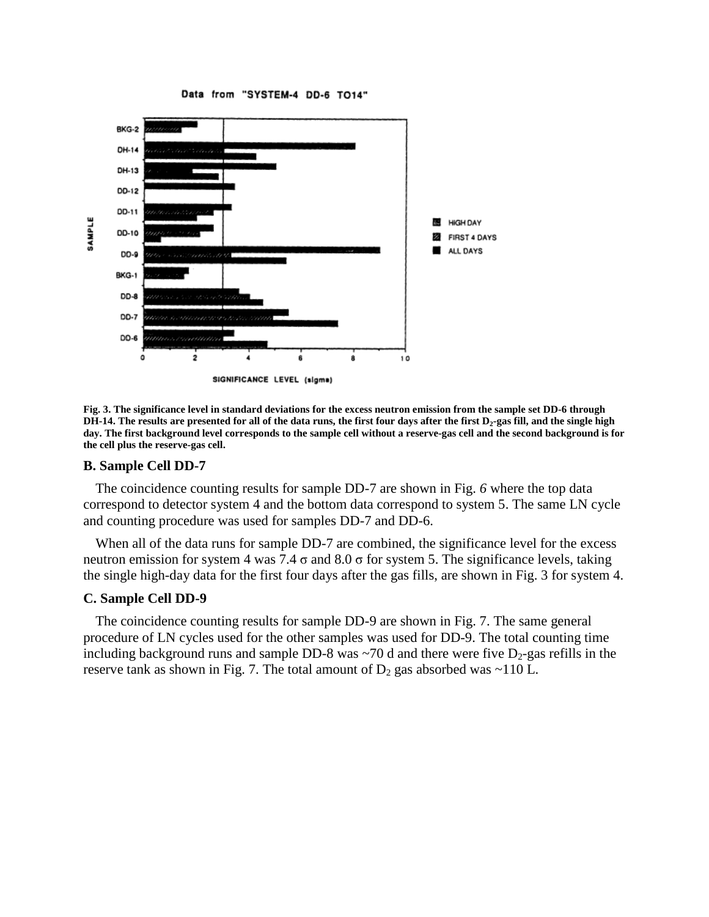

**Fig. 3. The significance level in standard deviations for the excess neutron emission from the sample set DD-6 through DH-14. The results are presented for all of the data runs, the first four days after the first D<sup>2</sup> -gas fill, and the single high day. The first background level corresponds to the sample cell without a reserve-gas cell and the second background is for the cell plus the reserve-gas cell.**

#### **B. Sample Cell DD-7**

The coincidence counting results for sample DD-7 are shown in Fig. *6* where the top data correspond to detector system 4 and the bottom data correspond to system 5. The same LN cycle and counting procedure was used for samples DD-7 and DD-6.

When all of the data runs for sample DD-7 are combined, the significance level for the excess neutron emission for system 4 was 7.4  $\sigma$  and 8.0  $\sigma$  for system 5. The significance levels, taking the single high-day data for the first four days after the gas fills, are shown in Fig. 3 for system 4.

#### **C. Sample Cell DD-9**

The coincidence counting results for sample DD-9 are shown in Fig. 7. The same general procedure of LN cycles used for the other samples was used for DD-9. The total counting time including background runs and sample DD-8 was  $\sim$ 70 d and there were five D<sub>2</sub>-gas refills in the reserve tank as shown in Fig. 7. The total amount of  $D_2$  gas absorbed was ~110 L.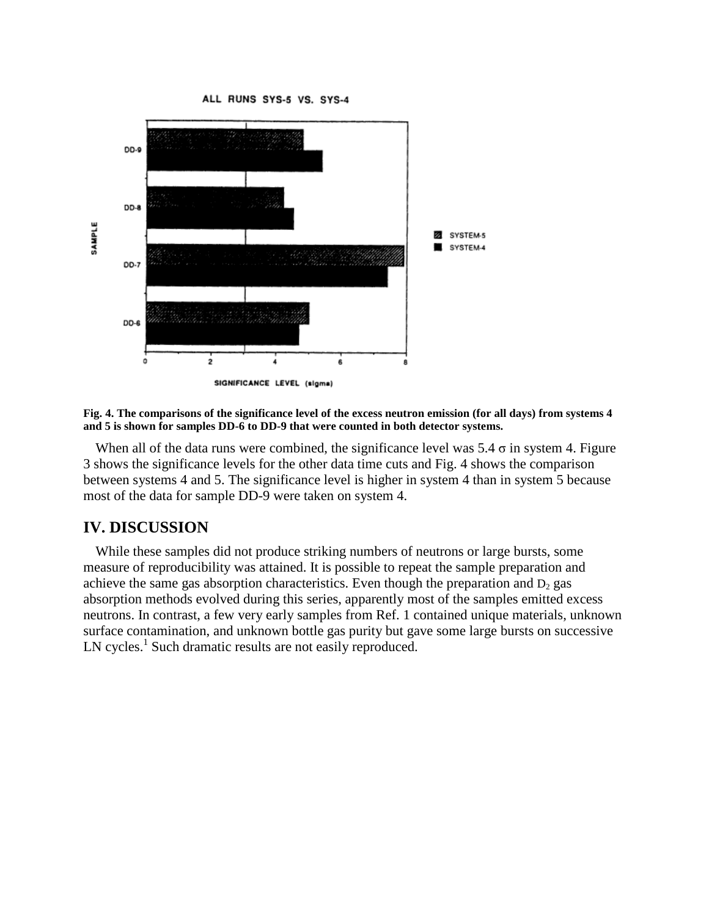ALL RUNS SYS-5 VS. SYS-4





When all of the data runs were combined, the significance level was  $5.4 \sigma$  in system 4. Figure 3 shows the significance levels for the other data time cuts and Fig. 4 shows the comparison between systems 4 and 5. The significance level is higher in system 4 than in system 5 because most of the data for sample DD-9 were taken on system 4.

## **IV. DISCUSSION**

While these samples did not produce striking numbers of neutrons or large bursts, some measure of reproducibility was attained. It is possible to repeat the sample preparation and achieve the same gas absorption characteristics. Even though the preparation and  $D<sub>2</sub>$  gas absorption methods evolved during this series, apparently most of the samples emitted excess neutrons. In contrast, a few very early samples from Ref. 1 contained unique materials, unknown surface contamination, and unknown bottle gas purity but gave some large bursts on successive LN cycles.<sup>1</sup> Such dramatic results are not easily reproduced.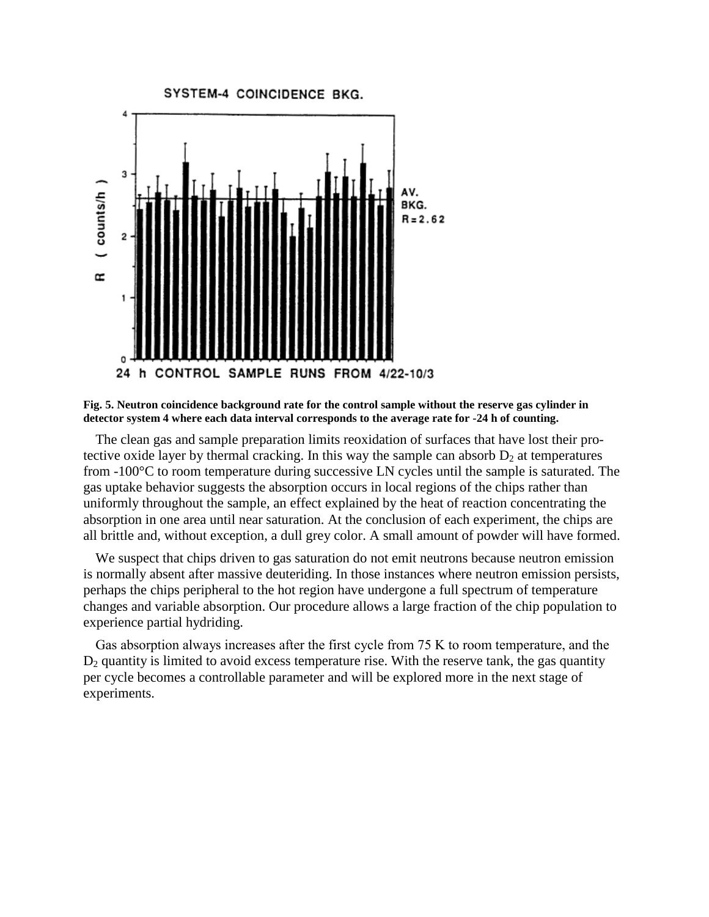

#### **Fig. 5. Neutron coincidence background rate for the control sample without the reserve gas cylinder in detector system 4 where each data interval corresponds to the average rate for -24 h of counting.**

The clean gas and sample preparation limits reoxidation of surfaces that have lost their protective oxide layer by thermal cracking. In this way the sample can absorb  $D_2$  at temperatures from -100°C to room temperature during successive LN cycles until the sample is saturated. The gas uptake behavior suggests the absorption occurs in local regions of the chips rather than uniformly throughout the sample, an effect explained by the heat of reaction concentrating the absorption in one area until near saturation. At the conclusion of each experiment, the chips are all brittle and, without exception, a dull grey color. A small amount of powder will have formed.

We suspect that chips driven to gas saturation do not emit neutrons because neutron emission is normally absent after massive deuteriding. In those instances where neutron emission persists, perhaps the chips peripheral to the hot region have undergone a full spectrum of temperature changes and variable absorption. Our procedure allows a large fraction of the chip population to experience partial hydriding.

Gas absorption always increases after the first cycle from 75 K to room temperature, and the  $D<sub>2</sub>$  quantity is limited to avoid excess temperature rise. With the reserve tank, the gas quantity per cycle becomes a controllable parameter and will be explored more in the next stage of experiments.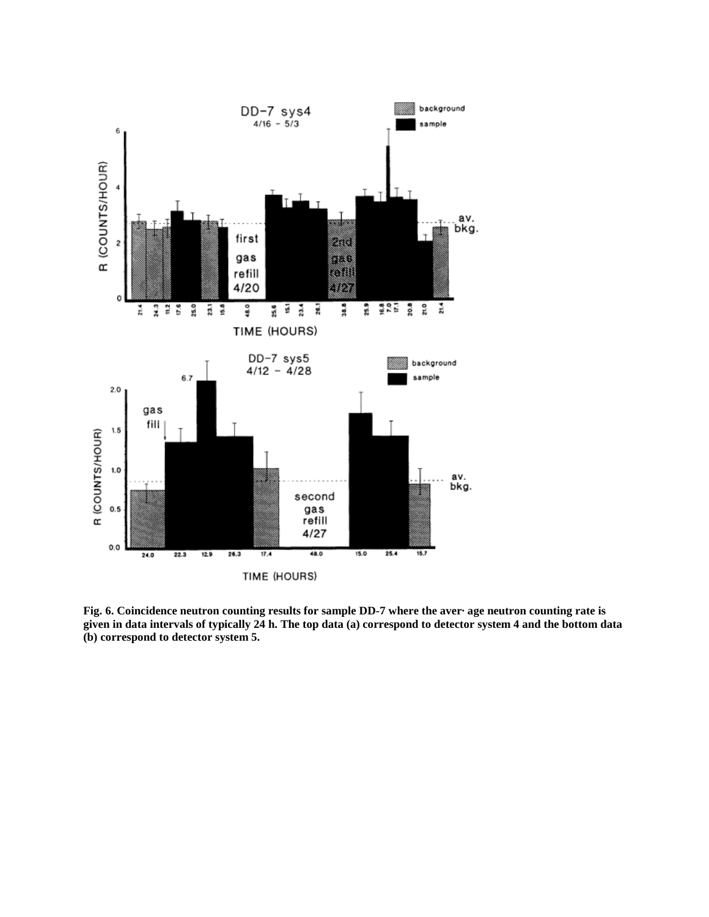

**Fig. 6. Coincidence neutron counting results for sample DD-7 where the aver· age neutron counting rate is given in data intervals of typically 24 h. The top data (a) correspond to detector system 4 and the bottom data (b) correspond to detector system 5.**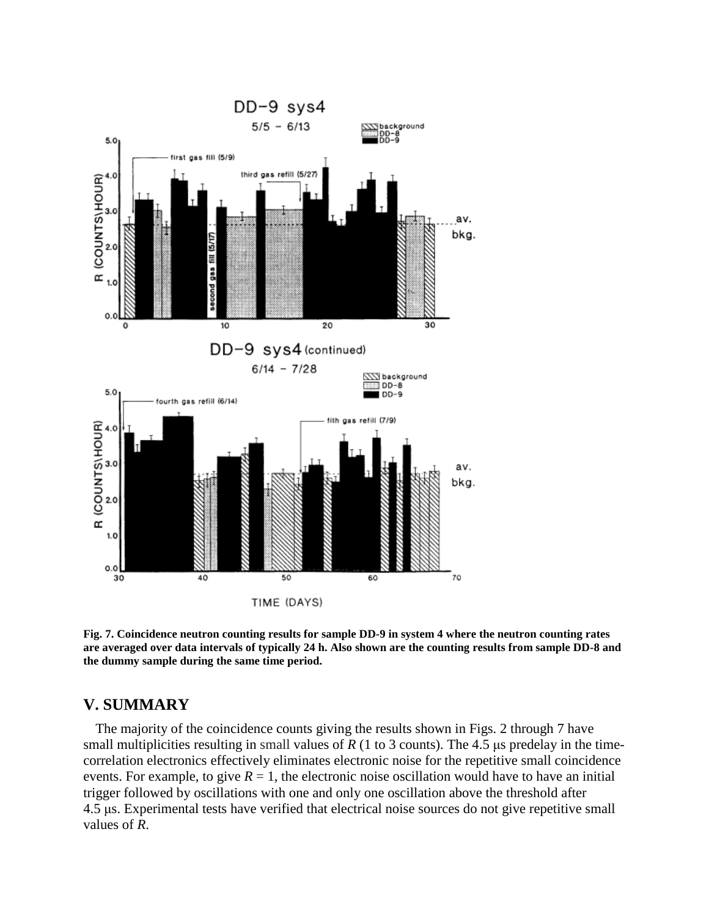

**Fig. 7. Coincidence neutron counting results for sample DD-9 in system 4 where the neutron counting rates are averaged over data intervals of typically 24 h. Also shown are the counting results from sample DD-8 and the dummy sample during the same time period.**

## **V. SUMMARY**

The majority of the coincidence counts giving the results shown in Figs. 2 through 7 have small multiplicities resulting in small values of  $R$  (1 to 3 counts). The 4.5  $\mu$ s predelay in the timecorrelation electronics effectively eliminates electronic noise for the repetitive small coincidence events. For example, to give  $R = 1$ , the electronic noise oscillation would have to have an initial trigger followed by oscillations with one and only one oscillation above the threshold after 4.5 μs. Experimental tests have verified that electrical noise sources do not give repetitive small values of *R*.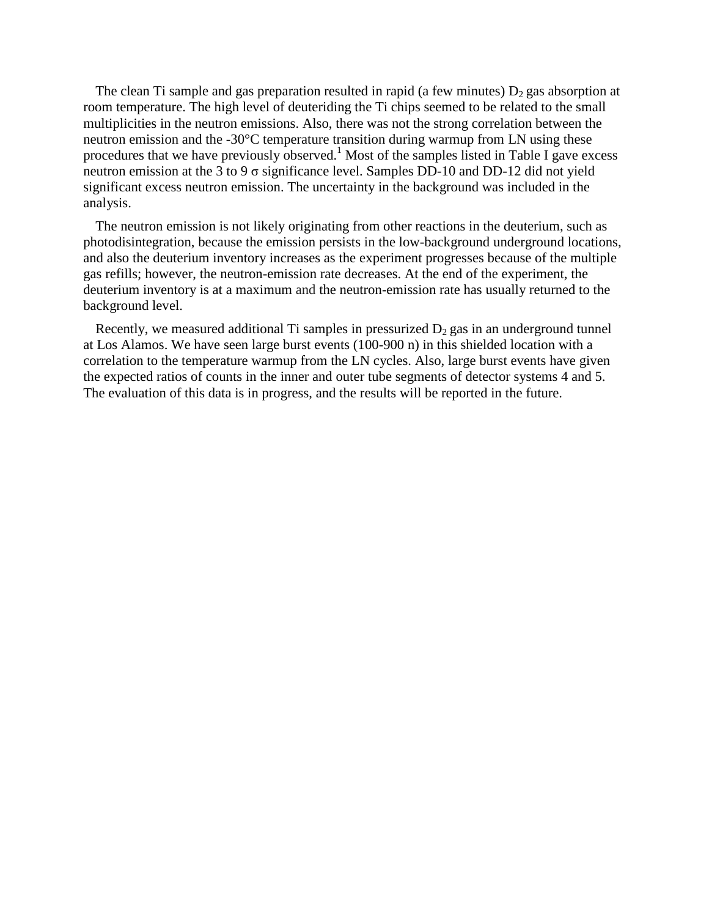The clean Ti sample and gas preparation resulted in rapid (a few minutes)  $D_2$  gas absorption at room temperature. The high level of deuteriding the Ti chips seemed to be related to the small multiplicities in the neutron emissions. Also, there was not the strong correlation between the neutron emission and the -30°C temperature transition during warmup from LN using these procedures that we have previously observed.<sup>1</sup> Most of the samples listed in Table I gave excess neutron emission at the 3 to 9  $\sigma$  significance level. Samples DD-10 and DD-12 did not yield significant excess neutron emission. The uncertainty in the background was included in the analysis.

The neutron emission is not likely originating from other reactions in the deuterium, such as photodisintegration, because the emission persists in the low-background underground locations, and also the deuterium inventory increases as the experiment progresses because of the multiple gas refills; however, the neutron-emission rate decreases. At the end of the experiment, the deuterium inventory is at a maximum and the neutron-emission rate has usually returned to the background level.

Recently, we measured additional Ti samples in pressurized  $D<sub>2</sub>$  gas in an underground tunnel at Los Alamos. We have seen large burst events (100-900 n) in this shielded location with a correlation to the temperature warmup from the LN cycles. Also, large burst events have given the expected ratios of counts in the inner and outer tube segments of detector systems 4 and 5. The evaluation of this data is in progress, and the results will be reported in the future.